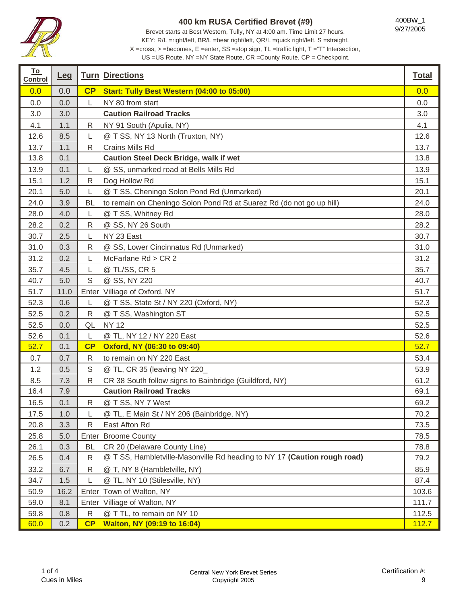

Brevet starts at Best Western, Tully, NY at 4:00 am. Time Limit 27 hours. KEY: R/L =right/left, BR/L =bear right/left, QR/L =quick right/left, S =straight, X =cross, > =becomes, E =enter, SS =stop sign, TL =traffic light, T ="T" Intersection,

400BW\_1 9/27/2005

ī

| <u>To</u><br><b>Control</b> | <u>Leg</u> |              | <b>Turn Directions</b>                                                   | <b>Total</b> |
|-----------------------------|------------|--------------|--------------------------------------------------------------------------|--------------|
| 0.0                         | 0.0        | CP           | Start: Tully Best Western (04:00 to 05:00)                               | 0.0          |
| 0.0                         | 0.0        | L            | NY 80 from start                                                         | 0.0          |
| 3.0                         | 3.0        |              | <b>Caution Railroad Tracks</b>                                           | 3.0          |
| 4.1                         | 1.1        | R            | NY 91 South (Apulia, NY)                                                 | 4.1          |
| 12.6                        | 8.5        | L            | @ T SS, NY 13 North (Truxton, NY)                                        | 12.6         |
| 13.7                        | 1.1        | R            | Crains Mills Rd                                                          | 13.7         |
| 13.8                        | 0.1        |              | <b>Caution Steel Deck Bridge, walk if wet</b>                            | 13.8         |
| 13.9                        | 0.1        | L            | @ SS, unmarked road at Bells Mills Rd                                    | 13.9         |
| 15.1                        | 1.2        | R            | Dog Hollow Rd                                                            | 15.1         |
| 20.1                        | 5.0        | L            | @ T SS, Cheningo Solon Pond Rd (Unmarked)                                | 20.1         |
| 24.0                        | 3.9        | <b>BL</b>    | to remain on Cheningo Solon Pond Rd at Suarez Rd (do not go up hill)     | 24.0         |
| 28.0                        | 4.0        | L            | @ T SS, Whitney Rd                                                       | 28.0         |
| 28.2                        | 0.2        | R            | @ SS, NY 26 South                                                        | 28.2         |
| 30.7                        | 2.5        | L            | NY 23 East                                                               | 30.7         |
| 31.0                        | 0.3        | ${\sf R}$    | @ SS, Lower Cincinnatus Rd (Unmarked)                                    | 31.0         |
| 31.2                        | 0.2        | L            | McFarlane Rd > CR 2                                                      | 31.2         |
| 35.7                        | 4.5        | L            | @ TL/SS, CR 5                                                            | 35.7         |
| 40.7                        | 5.0        | $\mathbb S$  | @ SS, NY 220                                                             | 40.7         |
| 51.7                        | 11.0       | Enter        | Villiage of Oxford, NY                                                   | 51.7         |
| 52.3                        | 0.6        | L            | @ T SS, State St / NY 220 (Oxford, NY)                                   | 52.3         |
| 52.5                        | 0.2        | $\mathsf{R}$ | @ T SS, Washington ST                                                    | 52.5         |
| 52.5                        | 0.0        | QL           | <b>NY 12</b>                                                             | 52.5         |
| 52.6                        | 0.1        | L            | @ TL, NY 12 / NY 220 East                                                | 52.6         |
| 52.7                        | 0.1        | CP           | Oxford, NY (06:30 to 09:40)                                              | 52.7         |
| 0.7                         | 0.7        | $\mathsf{R}$ | to remain on NY 220 East                                                 | 53.4         |
| 1.2                         | 0.5        | S            | @ TL, CR 35 (leaving NY 220                                              | 53.9         |
| 8.5                         | 7.3        | R            | CR 38 South follow signs to Bainbridge (Guildford, NY)                   | 61.2         |
| 16.4                        | 7.9        |              | <b>Caution Railroad Tracks</b>                                           | 69.1         |
| 16.5                        | 0.1        | R            | @ T SS, NY 7 West                                                        | 69.2         |
| 17.5                        | 1.0        | L            | @ TL, E Main St / NY 206 (Bainbridge, NY)                                | 70.2         |
| 20.8                        | 3.3        | $\mathsf R$  | East Afton Rd                                                            | 73.5         |
| 25.8                        | 5.0        | Enter        | <b>Broome County</b>                                                     | 78.5         |
| 26.1                        | 0.3        | BL           | CR 20 (Delaware County Line)                                             | 78.8         |
| 26.5                        | 0.4        | R            | @ T SS, Hambletville-Masonville Rd heading to NY 17 (Caution rough road) | 79.2         |
| 33.2                        | 6.7        | R            | @ T, NY 8 (Hambletville, NY)                                             | 85.9         |
| 34.7                        | 1.5        |              | @ TL, NY 10 (Stilesville, NY)                                            | 87.4         |
| 50.9                        | 16.2       | Enter        | Town of Walton, NY                                                       | 103.6        |
| 59.0                        | 8.1        | Enter        | Villiage of Walton, NY                                                   | 111.7        |
| 59.8                        | 0.8        | ${\sf R}$    | @ T TL, to remain on NY 10                                               | 112.5        |
| 60.0                        | 0.2        | CP           | <b>Walton, NY (09:19 to 16:04)</b>                                       | 112.7        |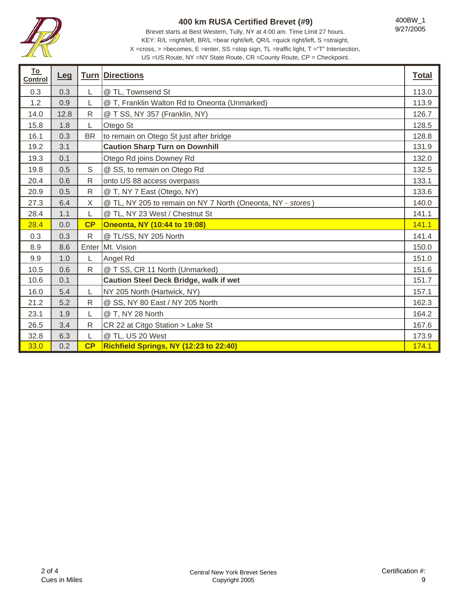

Brevet starts at Best Western, Tully, NY at 4:00 am. Time Limit 27 hours. KEY: R/L =right/left, BR/L =bear right/left, QR/L =quick right/left, S =straight, X =cross, > =becomes, E =enter, SS =stop sign, TL =traffic light, T ="T" Intersection,

| <u>To</u><br><b>Control</b> | <u>Leg</u> |              | <b>Turn Directions</b>                                      | <b>Total</b> |
|-----------------------------|------------|--------------|-------------------------------------------------------------|--------------|
| 0.3                         | 0.3        | L            | @ TL, Townsend St                                           | 113.0        |
| 1.2                         | 0.9        | L            | @ T, Franklin Walton Rd to Oneonta (Unmarked)               | 113.9        |
| 14.0                        | 12.8       | ${\sf R}$    | @ T SS, NY 357 (Franklin, NY)                               | 126.7        |
| 15.8                        | 1.8        | L            | Otego St                                                    | 128.5        |
| 16.1                        | 0.3        | <b>BR</b>    | to remain on Otego St just after bridge                     | 128.8        |
| 19.2                        | 3.1        |              | <b>Caution Sharp Turn on Downhill</b>                       | 131.9        |
| 19.3                        | 0.1        |              | Otego Rd joins Downey Rd                                    | 132.0        |
| 19.8                        | 0.5        | S            | @ SS, to remain on Otego Rd                                 | 132.5        |
| 20.4                        | 0.6        | $\mathsf{R}$ | onto US 88 access overpass                                  | 133.1        |
| 20.9                        | 0.5        | $\mathsf{R}$ | @ T, NY 7 East (Otego, NY)                                  | 133.6        |
| 27.3                        | 6.4        | X            | @ TL, NY 205 to remain on NY 7 North (Oneonta, NY - stores) | 140.0        |
| 28.4                        | 1.1        | L            | @ TL, NY 23 West / Chestnut St                              | 141.1        |
| 28.4                        | 0.0        | CP           | <b>Oneonta, NY (10:44 to 19:08)</b>                         | 141.1        |
| 0.3                         | 0.3        | $\mathsf{R}$ | @ TL/SS, NY 205 North                                       | 141.4        |
| 8.9                         | 8.6        | Enter        | Mt. Vision                                                  | 150.0        |
| 9.9                         | 1.0        | L            | Angel Rd                                                    | 151.0        |
| 10.5                        | 0.6        | $\mathsf{R}$ | @ T SS, CR 11 North (Unmarked)                              | 151.6        |
| 10.6                        | 0.1        |              | <b>Caution Steel Deck Bridge, walk if wet</b>               | 151.7        |
| 16.0                        | 5.4        | L            | NY 205 North (Hartwick, NY)                                 | 157.1        |
| 21.2                        | 5.2        | $\mathsf{R}$ | @ SS, NY 80 East / NY 205 North                             | 162.3        |
| 23.1                        | 1.9        | L            | @ T, NY 28 North                                            | 164.2        |
| 26.5                        | 3.4        | $\mathsf{R}$ | CR 22 at Citgo Station > Lake St                            | 167.6        |
| 32.8                        | 6.3        | L            | @ TL, US 20 West                                            | 173.9        |
| 33.0                        | 0.2        | CP           | Richfield Springs, NY (12:23 to 22:40)                      | 174.1        |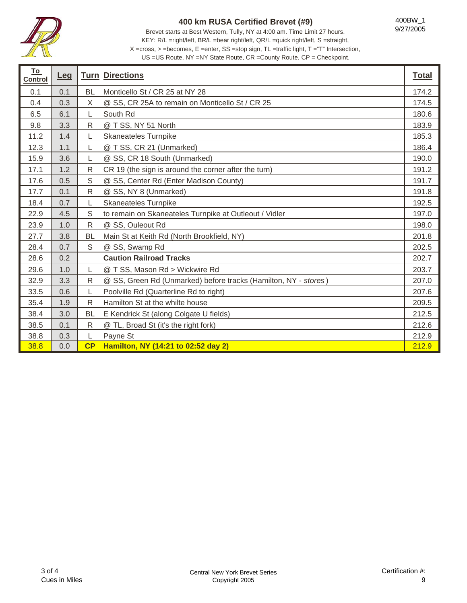

Brevet starts at Best Western, Tully, NY at 4:00 am. Time Limit 27 hours. KEY: R/L =right/left, BR/L =bear right/left, QR/L =quick right/left, S =straight, X =cross, > =becomes, E =enter, SS =stop sign, TL =traffic light, T ="T" Intersection,

400BW\_1 9/27/2005

| <u>To</u><br><b>Control</b> | <b>Leg</b> |              | <b>Turn Directions</b>                                          | <b>Total</b> |
|-----------------------------|------------|--------------|-----------------------------------------------------------------|--------------|
| 0.1                         | 0.1        | <b>BL</b>    | Monticello St / CR 25 at NY 28                                  | 174.2        |
| 0.4                         | 0.3        | X            | @ SS, CR 25A to remain on Monticello St / CR 25                 | 174.5        |
| 6.5                         | 6.1        | L            | South Rd                                                        | 180.6        |
| 9.8                         | 3.3        | ${\sf R}$    | @ T SS, NY 51 North                                             | 183.9        |
| 11.2                        | 1.4        | L            | Skaneateles Turnpike                                            | 185.3        |
| 12.3                        | 1.1        | L            | @ T SS, CR 21 (Unmarked)                                        | 186.4        |
| 15.9                        | 3.6        | L            | @ SS, CR 18 South (Unmarked)                                    | 190.0        |
| 17.1                        | 1.2        | R            | CR 19 (the sign is around the corner after the turn)            | 191.2        |
| 17.6                        | 0.5        | S            | @ SS, Center Rd (Enter Madison County)                          | 191.7        |
| 17.7                        | 0.1        | R            | @ SS, NY 8 (Unmarked)                                           | 191.8        |
| 18.4                        | 0.7        |              | <b>Skaneateles Turnpike</b>                                     | 192.5        |
| 22.9                        | 4.5        | S            | to remain on Skaneateles Turnpike at Outleout / Vidler          | 197.0        |
| 23.9                        | 1.0        | $\mathsf{R}$ | @ SS, Ouleout Rd                                                | 198.0        |
| 27.7                        | 3.8        | <b>BL</b>    | Main St at Keith Rd (North Brookfield, NY)                      | 201.8        |
| 28.4                        | 0.7        | $\mathbb S$  | @ SS, Swamp Rd                                                  | 202.5        |
| 28.6                        | 0.2        |              | <b>Caution Railroad Tracks</b>                                  | 202.7        |
| 29.6                        | 1.0        | L            | @ T SS, Mason Rd > Wickwire Rd                                  | 203.7        |
| 32.9                        | 3.3        | $\mathsf{R}$ | @ SS, Green Rd (Unmarked) before tracks (Hamilton, NY - stores) | 207.0        |
| 33.5                        | 0.6        | L            | Poolville Rd (Quarterline Rd to right)                          | 207.6        |
| 35.4                        | 1.9        | R            | Hamilton St at the whilte house                                 | 209.5        |
| 38.4                        | 3.0        | <b>BL</b>    | E Kendrick St (along Colgate U fields)                          | 212.5        |
| 38.5                        | 0.1        | R            | @ TL, Broad St (it's the right fork)                            | 212.6        |
| 38.8                        | 0.3        | L            | Payne St                                                        | 212.9        |
| 38.8                        | 0.0        | CP           | Hamilton, NY (14:21 to 02:52 day 2)                             | 212.9        |